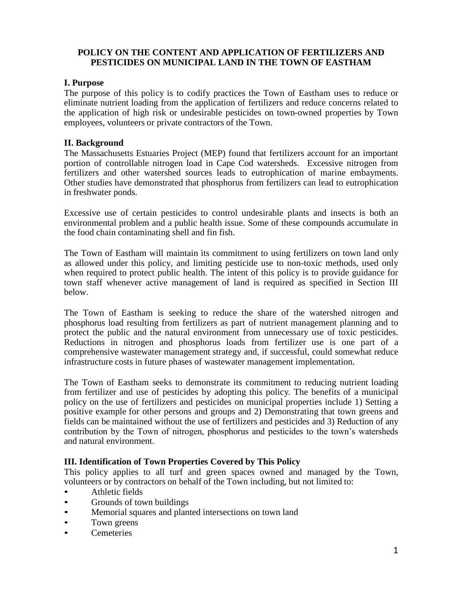# **POLICY ON THE CONTENT AND APPLICATION OF FERTILIZERS AND PESTICIDES ON MUNICIPAL LAND IN THE TOWN OF EASTHAM**

## **I. Purpose**

The purpose of this policy is to codify practices the Town of Eastham uses to reduce or eliminate nutrient loading from the application of fertilizers and reduce concerns related to the application of high risk or undesirable pesticides on town-owned properties by Town employees, volunteers or private contractors of the Town.

#### **II. Background**

The Massachusetts Estuaries Project (MEP) found that fertilizers account for an important portion of controllable nitrogen load in Cape Cod watersheds. Excessive nitrogen from fertilizers and other watershed sources leads to eutrophication of marine embayments. Other studies have demonstrated that phosphorus from fertilizers can lead to eutrophication in freshwater ponds.

Excessive use of certain pesticides to control undesirable plants and insects is both an environmental problem and a public health issue. Some of these compounds accumulate in the food chain contaminating shell and fin fish.

The Town of Eastham will maintain its commitment to using fertilizers on town land only as allowed under this policy, and limiting pesticide use to non-toxic methods, used only when required to protect public health. The intent of this policy is to provide guidance for town staff whenever active management of land is required as specified in Section III below.

The Town of Eastham is seeking to reduce the share of the watershed nitrogen and phosphorus load resulting from fertilizers as part of nutrient management planning and to protect the public and the natural environment from unnecessary use of toxic pesticides. Reductions in nitrogen and phosphorus loads from fertilizer use is one part of a comprehensive wastewater management strategy and, if successful, could somewhat reduce infrastructure costs in future phases of wastewater management implementation.

The Town of Eastham seeks to demonstrate its commitment to reducing nutrient loading from fertilizer and use of pesticides by adopting this policy. The benefits of a municipal policy on the use of fertilizers and pesticides on municipal properties include 1) Setting a positive example for other persons and groups and 2) Demonstrating that town greens and fields can be maintained without the use of fertilizers and pesticides and 3) Reduction of any contribution by the Town of nitrogen, phosphorus and pesticides to the town's watersheds and natural environment.

# **III. Identification of Town Properties Covered by This Policy**

This policy applies to all turf and green spaces owned and managed by the Town, volunteers or by contractors on behalf of the Town including, but not limited to:

- Athletic fields
- Grounds of town buildings
- Memorial squares and planted intersections on town land
- Town greens
- **Cemeteries**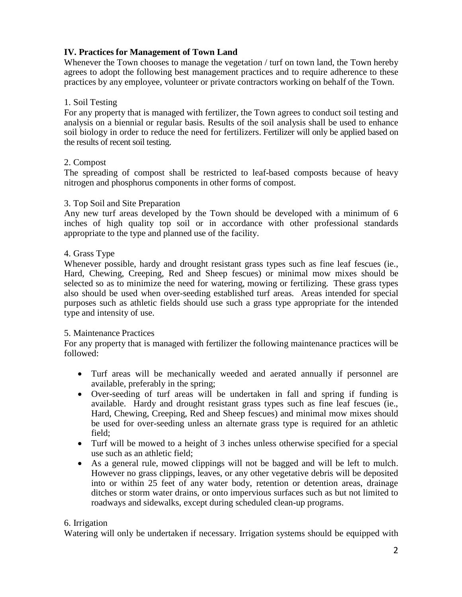# **IV. Practices for Management of Town Land**

Whenever the Town chooses to manage the vegetation / turf on town land, the Town hereby agrees to adopt the following best management practices and to require adherence to these practices by any employee, volunteer or private contractors working on behalf of the Town.

### 1. Soil Testing

For any property that is managed with fertilizer, the Town agrees to conduct soil testing and analysis on a biennial or regular basis. Results of the soil analysis shall be used to enhance soil biology in order to reduce the need for fertilizers. Fertilizer will only be applied based on the results of recent soil testing.

### 2. Compost

The spreading of compost shall be restricted to leaf-based composts because of heavy nitrogen and phosphorus components in other forms of compost.

### 3. Top Soil and Site Preparation

Any new turf areas developed by the Town should be developed with a minimum of 6 inches of high quality top soil or in accordance with other professional standards appropriate to the type and planned use of the facility.

#### 4. Grass Type

Whenever possible, hardy and drought resistant grass types such as fine leaf fescues (ie., Hard, Chewing, Creeping, Red and Sheep fescues) or minimal mow mixes should be selected so as to minimize the need for watering, mowing or fertilizing. These grass types also should be used when over-seeding established turf areas. Areas intended for special purposes such as athletic fields should use such a grass type appropriate for the intended type and intensity of use.

#### 5. Maintenance Practices

For any property that is managed with fertilizer the following maintenance practices will be followed:

- Turf areas will be mechanically weeded and aerated annually if personnel are available, preferably in the spring;
- Over-seeding of turf areas will be undertaken in fall and spring if funding is available. Hardy and drought resistant grass types such as fine leaf fescues (ie., Hard, Chewing, Creeping, Red and Sheep fescues) and minimal mow mixes should be used for over-seeding unless an alternate grass type is required for an athletic field;
- Turf will be mowed to a height of 3 inches unless otherwise specified for a special use such as an athletic field;
- As a general rule, mowed clippings will not be bagged and will be left to mulch. However no grass clippings, leaves, or any other vegetative debris will be deposited into or within 25 feet of any water body, retention or detention areas, drainage ditches or storm water drains, or onto impervious surfaces such as but not limited to roadways and sidewalks, except during scheduled clean-up programs.

#### 6. Irrigation

Watering will only be undertaken if necessary. Irrigation systems should be equipped with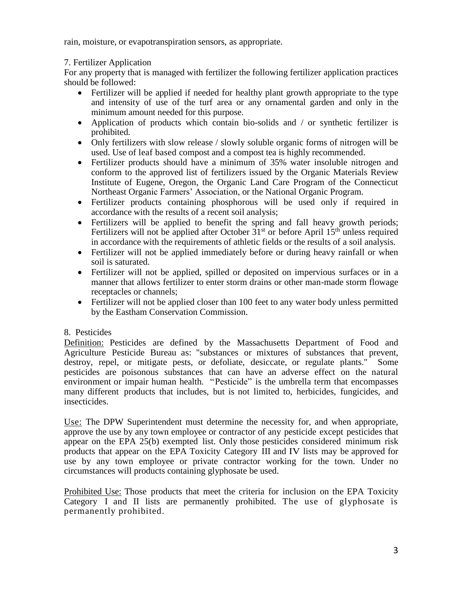rain, moisture, or evapotranspiration sensors, as appropriate.

# 7. Fertilizer Application

For any property that is managed with fertilizer the following fertilizer application practices should be followed:

- Fertilizer will be applied if needed for healthy plant growth appropriate to the type and intensity of use of the turf area or any ornamental garden and only in the minimum amount needed for this purpose.
- Application of products which contain bio-solids and / or synthetic fertilizer is prohibited.
- Only fertilizers with slow release / slowly soluble organic forms of nitrogen will be used. Use of leaf based compost and a compost tea is highly recommended.
- Fertilizer products should have a minimum of 35% water insoluble nitrogen and conform to the approved list of fertilizers issued by the Organic Materials Review Institute of Eugene, Oregon, the Organic Land Care Program of the Connecticut Northeast Organic Farmers' Association, or the National Organic Program.
- Fertilizer products containing phosphorous will be used only if required in accordance with the results of a recent soil analysis;
- Fertilizers will be applied to benefit the spring and fall heavy growth periods; Fertilizers will not be applied after October  $31<sup>st</sup>$  or before April  $15<sup>th</sup>$  unless required in accordance with the requirements of athletic fields or the results of a soil analysis.
- Fertilizer will not be applied immediately before or during heavy rainfall or when soil is saturated.
- Fertilizer will not be applied, spilled or deposited on impervious surfaces or in a manner that allows fertilizer to enter storm drains or other man-made storm flowage receptacles or channels;
- Fertilizer will not be applied closer than 100 feet to any water body unless permitted by the Eastham Conservation Commission.

# 8. Pesticides

Definition: Pesticides are defined by the Massachusetts Department of Food and Agriculture Pesticide Bureau as: "substances or mixtures of substances that prevent, destroy, repel, or mitigate pests, or defoliate, desiccate, or regulate plants." Some pesticides are poisonous substances that can have an adverse effect on the natural environment or impair human health. "Pesticide" is the umbrella term that encompasses many different products that includes, but is not limited to, herbicides, fungicides, and insecticides.

Use: The DPW Superintendent must determine the necessity for, and when appropriate, approve the use by any town employee or contractor of any pesticide except pesticides that appear on the EPA 25(b) exempted list. Only those pesticides considered minimum risk products that appear on the EPA Toxicity Category III and IV lists may be approved for use by any town employee or private contractor working for the town. Under no circumstances will products containing glyphosate be used.

Prohibited Use: Those products that meet the criteria for inclusion on the EPA Toxicity Category I and II lists are permanently prohibited. The use of glyphosate is permanently prohibited.